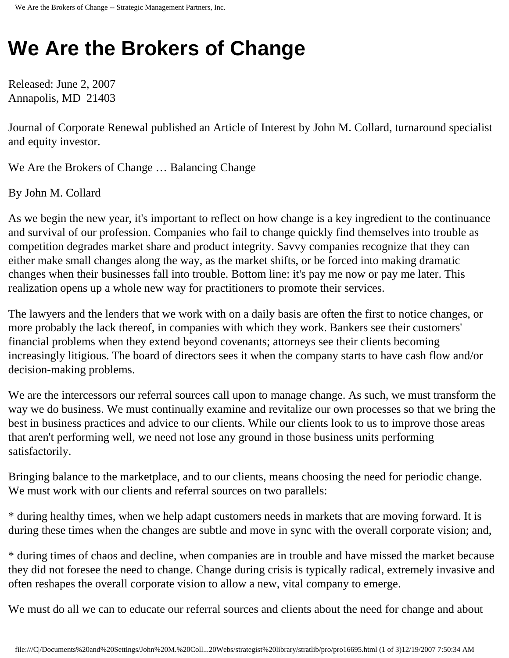## **We Are the Brokers of Change**

Released: June 2, 2007 Annapolis, MD 21403

Journal of Corporate Renewal published an Article of Interest by John M. Collard, turnaround specialist and equity investor.

We Are the Brokers of Change … Balancing Change

By John M. Collard

As we begin the new year, it's important to reflect on how change is a key ingredient to the continuance and survival of our profession. Companies who fail to change quickly find themselves into trouble as competition degrades market share and product integrity. Savvy companies recognize that they can either make small changes along the way, as the market shifts, or be forced into making dramatic changes when their businesses fall into trouble. Bottom line: it's pay me now or pay me later. This realization opens up a whole new way for practitioners to promote their services.

The lawyers and the lenders that we work with on a daily basis are often the first to notice changes, or more probably the lack thereof, in companies with which they work. Bankers see their customers' financial problems when they extend beyond covenants; attorneys see their clients becoming increasingly litigious. The board of directors sees it when the company starts to have cash flow and/or decision-making problems.

We are the intercessors our referral sources call upon to manage change. As such, we must transform the way we do business. We must continually examine and revitalize our own processes so that we bring the best in business practices and advice to our clients. While our clients look to us to improve those areas that aren't performing well, we need not lose any ground in those business units performing satisfactorily.

Bringing balance to the marketplace, and to our clients, means choosing the need for periodic change. We must work with our clients and referral sources on two parallels:

\* during healthy times, when we help adapt customers needs in markets that are moving forward. It is during these times when the changes are subtle and move in sync with the overall corporate vision; and,

\* during times of chaos and decline, when companies are in trouble and have missed the market because they did not foresee the need to change. Change during crisis is typically radical, extremely invasive and often reshapes the overall corporate vision to allow a new, vital company to emerge.

We must do all we can to educate our referral sources and clients about the need for change and about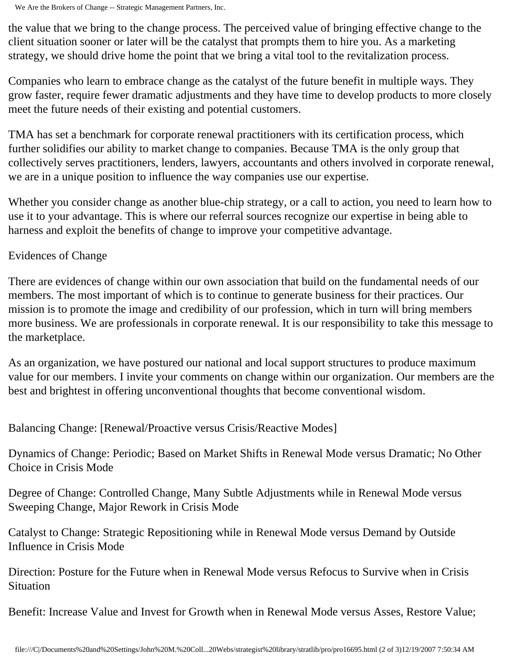We Are the Brokers of Change -- Strategic Management Partners, Inc.

the value that we bring to the change process. The perceived value of bringing effective change to the client situation sooner or later will be the catalyst that prompts them to hire you. As a marketing strategy, we should drive home the point that we bring a vital tool to the revitalization process.

Companies who learn to embrace change as the catalyst of the future benefit in multiple ways. They grow faster, require fewer dramatic adjustments and they have time to develop products to more closely meet the future needs of their existing and potential customers.

TMA has set a benchmark for corporate renewal practitioners with its certification process, which further solidifies our ability to market change to companies. Because TMA is the only group that collectively serves practitioners, lenders, lawyers, accountants and others involved in corporate renewal, we are in a unique position to influence the way companies use our expertise.

Whether you consider change as another blue-chip strategy, or a call to action, you need to learn how to use it to your advantage. This is where our referral sources recognize our expertise in being able to harness and exploit the benefits of change to improve your competitive advantage.

## Evidences of Change

There are evidences of change within our own association that build on the fundamental needs of our members. The most important of which is to continue to generate business for their practices. Our mission is to promote the image and credibility of our profession, which in turn will bring members more business. We are professionals in corporate renewal. It is our responsibility to take this message to the marketplace.

As an organization, we have postured our national and local support structures to produce maximum value for our members. I invite your comments on change within our organization. Our members are the best and brightest in offering unconventional thoughts that become conventional wisdom.

Balancing Change: [Renewal/Proactive versus Crisis/Reactive Modes]

Dynamics of Change: Periodic; Based on Market Shifts in Renewal Mode versus Dramatic; No Other Choice in Crisis Mode

Degree of Change: Controlled Change, Many Subtle Adjustments while in Renewal Mode versus Sweeping Change, Major Rework in Crisis Mode

Catalyst to Change: Strategic Repositioning while in Renewal Mode versus Demand by Outside Influence in Crisis Mode

Direction: Posture for the Future when in Renewal Mode versus Refocus to Survive when in Crisis Situation

Benefit: Increase Value and Invest for Growth when in Renewal Mode versus Asses, Restore Value;